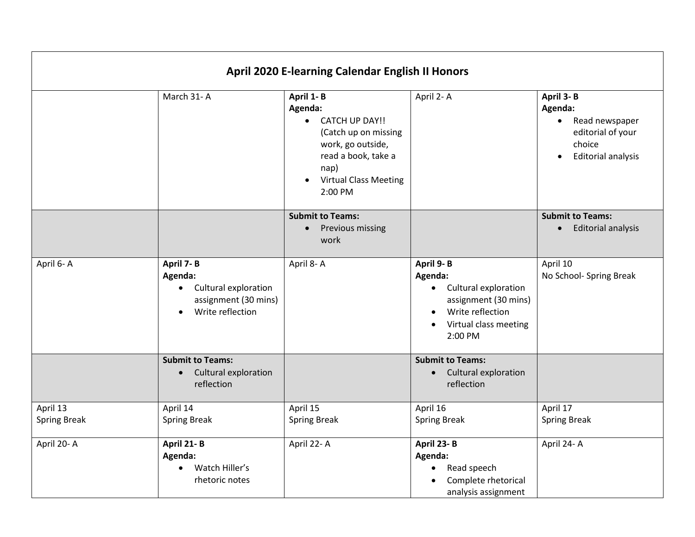| <b>April 2020 E-learning Calendar English II Honors</b> |                                                                                                                    |                                                                                                                                                                 |                                                                                                                                                                     |                                                                                                                              |  |  |
|---------------------------------------------------------|--------------------------------------------------------------------------------------------------------------------|-----------------------------------------------------------------------------------------------------------------------------------------------------------------|---------------------------------------------------------------------------------------------------------------------------------------------------------------------|------------------------------------------------------------------------------------------------------------------------------|--|--|
|                                                         | March 31-A                                                                                                         | April 1-B<br>Agenda:<br>• CATCH UP DAY!!<br>(Catch up on missing<br>work, go outside,<br>read a book, take a<br>nap)<br><b>Virtual Class Meeting</b><br>2:00 PM | April 2-A                                                                                                                                                           | April 3-B<br>Agenda:<br>Read newspaper<br>$\bullet$<br>editorial of your<br>choice<br><b>Editorial analysis</b><br>$\bullet$ |  |  |
|                                                         |                                                                                                                    | <b>Submit to Teams:</b><br>Previous missing<br>$\bullet$<br>work                                                                                                |                                                                                                                                                                     | <b>Submit to Teams:</b><br><b>Editorial analysis</b><br>$\bullet$                                                            |  |  |
| April 6-A                                               | April 7-B<br>Agenda:<br>Cultural exploration<br>$\bullet$<br>assignment (30 mins)<br>Write reflection<br>$\bullet$ | April 8-A                                                                                                                                                       | April 9-B<br>Agenda:<br>Cultural exploration<br>$\bullet$<br>assignment (30 mins)<br>Write reflection<br>$\bullet$<br>Virtual class meeting<br>$\bullet$<br>2:00 PM | April 10<br>No School- Spring Break                                                                                          |  |  |
|                                                         | <b>Submit to Teams:</b><br>Cultural exploration<br>$\bullet$<br>reflection                                         |                                                                                                                                                                 | <b>Submit to Teams:</b><br>Cultural exploration<br>$\bullet$<br>reflection                                                                                          |                                                                                                                              |  |  |
| April 13<br><b>Spring Break</b>                         | April 14<br><b>Spring Break</b>                                                                                    | April 15<br><b>Spring Break</b>                                                                                                                                 | April 16<br><b>Spring Break</b>                                                                                                                                     | April 17<br><b>Spring Break</b>                                                                                              |  |  |
| April 20-A                                              | April 21-B<br>Agenda:<br>Watch Hiller's<br>$\bullet$<br>rhetoric notes                                             | April 22-A                                                                                                                                                      | April 23-B<br>Agenda:<br>Read speech<br>$\bullet$<br>Complete rhetorical<br>analysis assignment                                                                     | April 24-A                                                                                                                   |  |  |